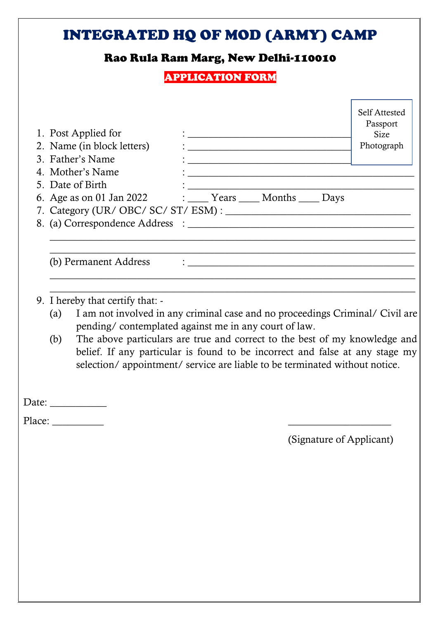## [INTEGRATED HQ OF MOD \(ARMY\) CAMP](https://onlineforms.in/integrated-hq-of-mod-mts-offline-form-2022/) Rao Rula Ram Marg, New Delhi-110010 APPLICATION FORM 1. Post Applied for : \_\_\_\_\_\_\_\_\_\_\_\_\_\_\_\_\_\_\_\_\_\_\_\_\_\_\_\_\_\_\_\_ 2. Name (in block letters) : 3. Father's Name : 4. Mother's Name 5. Date of Birth 6. Age as on 01 Jan 2022 : Years Months Days 7. Category (UR/ OBC/ SC/ ST/ ESM) : \_\_\_\_\_\_\_\_\_\_\_\_\_\_\_\_\_\_\_\_\_\_\_\_\_\_\_\_\_\_\_\_\_\_\_\_ 8. (a) Correspondence Address : \_\_\_\_\_\_\_\_\_\_\_\_\_\_\_\_\_\_\_\_\_\_\_\_\_\_\_\_\_\_\_\_\_\_\_\_\_\_\_\_\_\_\_\_\_\_\_\_\_\_\_\_\_\_\_\_\_\_\_\_\_\_\_\_\_\_\_\_\_\_\_  $\_$  , and the set of the set of the set of the set of the set of the set of the set of the set of the set of the set of the set of the set of the set of the set of the set of the set of the set of the set of the set of th (b) Permanent Address  $\qquad$ : \_\_\_\_\_\_\_\_\_\_\_\_\_\_\_\_\_\_\_\_\_\_\_\_\_\_\_\_\_\_\_\_\_\_\_\_\_\_\_\_\_\_\_\_\_\_\_\_\_\_\_\_\_\_\_\_\_\_\_\_\_\_\_\_\_\_\_\_\_\_\_ \_\_\_\_\_\_\_\_\_\_\_\_\_\_\_\_\_\_\_\_\_\_\_\_\_\_\_\_\_\_\_\_\_\_\_\_\_\_\_\_\_\_\_\_\_\_\_\_\_\_\_\_\_\_\_\_\_\_\_\_\_\_\_\_\_\_\_\_\_\_\_ 9. I hereby that certify that: - (a) I am not involved in any criminal case and no proceedings Criminal/ Civil are pending/ contemplated against me in any court of law. (b) The above particulars are true and correct to the best of my knowledge and belief. If any particular is found to be incorrect and false at any stage my selection/ appointment/ service are liable to be terminated without notice. Date: Place: (Signature of Applicant) Self Attested Passport Size Photograph